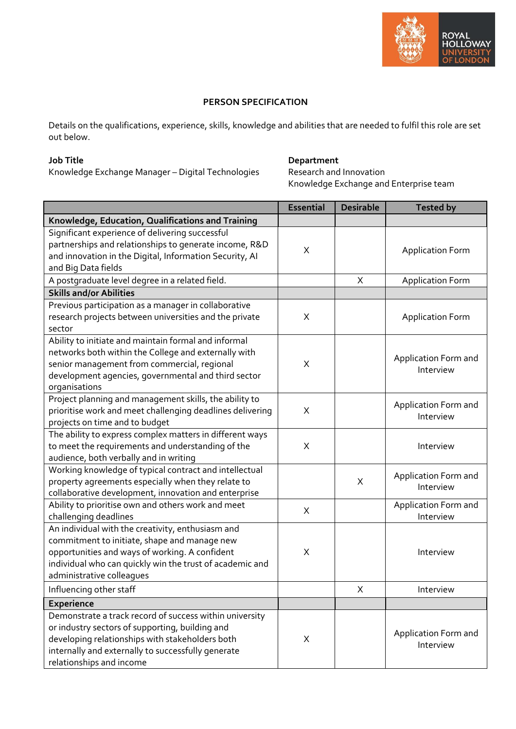

## **PERSON SPECIFICATION**

Details on the qualifications, experience, skills, knowledge and abilities that are needed to fulfil this role are set out below.

## **Job Title**

Knowledge Exchange Manager – Digital Technologies

## **Department**

Research and Innovation Knowledge Exchange and Enterprise team

|                                                           | <b>Essential</b> | <b>Desirable</b> | <b>Tested by</b>        |
|-----------------------------------------------------------|------------------|------------------|-------------------------|
| Knowledge, Education, Qualifications and Training         |                  |                  |                         |
| Significant experience of delivering successful           |                  |                  |                         |
| partnerships and relationships to generate income, R&D    | X                |                  | <b>Application Form</b> |
| and innovation in the Digital, Information Security, AI   |                  |                  |                         |
| and Big Data fields                                       |                  |                  |                         |
| A postgraduate level degree in a related field.           |                  | X                | <b>Application Form</b> |
| <b>Skills and/or Abilities</b>                            |                  |                  |                         |
| Previous participation as a manager in collaborative      |                  |                  |                         |
| research projects between universities and the private    | X                |                  | <b>Application Form</b> |
| sector                                                    |                  |                  |                         |
| Ability to initiate and maintain formal and informal      |                  |                  |                         |
| networks both within the College and externally with      |                  |                  | Application Form and    |
| senior management from commercial, regional               | X                |                  | Interview               |
| development agencies, governmental and third sector       |                  |                  |                         |
| organisations                                             |                  |                  |                         |
| Project planning and management skills, the ability to    |                  |                  | Application Form and    |
| prioritise work and meet challenging deadlines delivering | X                |                  | Interview               |
| projects on time and to budget                            |                  |                  |                         |
| The ability to express complex matters in different ways  |                  |                  |                         |
| to meet the requirements and understanding of the         | X                |                  | Interview               |
| audience, both verbally and in writing                    |                  |                  |                         |
| Working knowledge of typical contract and intellectual    |                  |                  | Application Form and    |
| property agreements especially when they relate to        |                  | X                | Interview               |
| collaborative development, innovation and enterprise      |                  |                  |                         |
| Ability to prioritise own and others work and meet        | $\mathsf X$      |                  | Application Form and    |
| challenging deadlines                                     |                  |                  | Interview               |
| An individual with the creativity, enthusiasm and         |                  |                  |                         |
| commitment to initiate, shape and manage new              |                  |                  |                         |
| opportunities and ways of working. A confident            | X                |                  | Interview               |
| individual who can quickly win the trust of academic and  |                  |                  |                         |
| administrative colleagues                                 |                  |                  |                         |
| Influencing other staff                                   |                  | X                | Interview               |
| <b>Experience</b>                                         |                  |                  |                         |
| Demonstrate a track record of success within university   |                  |                  |                         |
| or industry sectors of supporting, building and           |                  |                  | Application Form and    |
| developing relationships with stakeholders both           | X                |                  | Interview               |
| internally and externally to successfully generate        |                  |                  |                         |
| relationships and income                                  |                  |                  |                         |